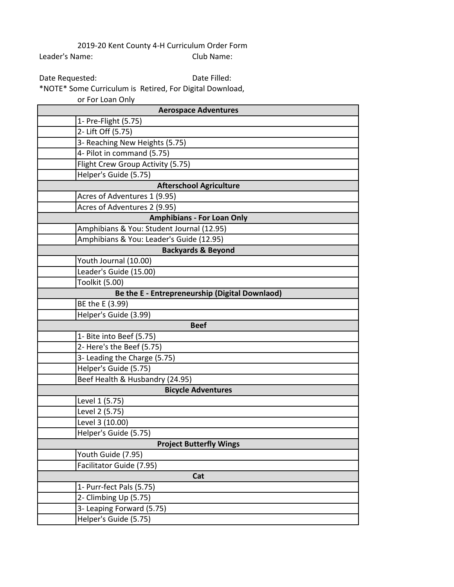2019-20 Kent County 4-H Curriculum Order Form Leader's Name: Club Name:

Date Requested:

Date Filled:

\*NOTE\* Some Curriculum is Retired, For Digital Download, or For Loan Only

| <b>Aerospace Adventures</b>                    |  |
|------------------------------------------------|--|
| 1- Pre-Flight (5.75)                           |  |
| 2- Lift Off (5.75)                             |  |
| 3- Reaching New Heights (5.75)                 |  |
| 4- Pilot in command (5.75)                     |  |
| Flight Crew Group Activity (5.75)              |  |
| Helper's Guide (5.75)                          |  |
| <b>Afterschool Agriculture</b>                 |  |
| Acres of Adventures 1 (9.95)                   |  |
| Acres of Adventures 2 (9.95)                   |  |
| <b>Amphibians - For Loan Only</b>              |  |
| Amphibians & You: Student Journal (12.95)      |  |
| Amphibians & You: Leader's Guide (12.95)       |  |
| <b>Backyards &amp; Beyond</b>                  |  |
| Youth Journal (10.00)                          |  |
| Leader's Guide (15.00)                         |  |
| Toolkit (5.00)                                 |  |
| Be the E - Entrepreneurship (Digital Downlaod) |  |
| BE the E (3.99)                                |  |
| Helper's Guide (3.99)                          |  |
| <b>Beef</b>                                    |  |
| 1- Bite into Beef (5.75)                       |  |
| 2- Here's the Beef (5.75)                      |  |
| 3- Leading the Charge (5.75)                   |  |
| Helper's Guide (5.75)                          |  |
| Beef Health & Husbandry (24.95)                |  |
| <b>Bicycle Adventures</b>                      |  |
| Level 1 (5.75)                                 |  |
| Level 2 (5.75)                                 |  |
| Level 3 (10.00)                                |  |
| Helper's Guide (5.75)                          |  |
| <b>Project Butterfly Wings</b>                 |  |
| Youth Guide (7.95)                             |  |
| Facilitator Guide (7.95)                       |  |
| Cat                                            |  |
| 1- Purr-fect Pals (5.75)                       |  |
| 2- Climbing Up (5.75)                          |  |
| 3- Leaping Forward (5.75)                      |  |
| Helper's Guide (5.75)                          |  |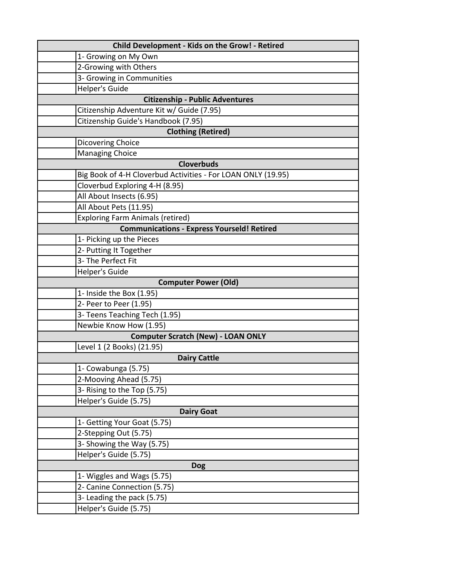| Child Development - Kids on the Grow! - Retired              |
|--------------------------------------------------------------|
| 1- Growing on My Own                                         |
| 2-Growing with Others                                        |
| 3- Growing in Communities                                    |
| <b>Helper's Guide</b>                                        |
| <b>Citizenship - Public Adventures</b>                       |
| Citizenship Adventure Kit w/ Guide (7.95)                    |
| Citizenship Guide's Handbook (7.95)                          |
| <b>Clothing (Retired)</b>                                    |
| Dicovering Choice                                            |
| <b>Managing Choice</b>                                       |
| <b>Cloverbuds</b>                                            |
| Big Book of 4-H Cloverbud Activities - For LOAN ONLY (19.95) |
| Cloverbud Exploring 4-H (8.95)                               |
| All About Insects (6.95)                                     |
| All About Pets (11.95)                                       |
| <b>Exploring Farm Animals (retired)</b>                      |
| <b>Communications - Express Yourseld! Retired</b>            |
| 1- Picking up the Pieces                                     |
| 2- Putting It Together                                       |
| 3- The Perfect Fit                                           |
| <b>Helper's Guide</b>                                        |
| <b>Computer Power (Old)</b>                                  |
| 1- Inside the Box (1.95)                                     |
| 2- Peer to Peer (1.95)                                       |
| 3- Teens Teaching Tech (1.95)                                |
| Newbie Know How (1.95)                                       |
| <b>Computer Scratch (New) - LOAN ONLY</b>                    |
| Level 1 (2 Books) (21.95)                                    |
| <b>Dairy Cattle</b>                                          |
| 1- Cowabunga (5.75)                                          |
| 2-Mooving Ahead (5.75)                                       |
| 3- Rising to the Top (5.75)                                  |
| Helper's Guide (5.75)                                        |
| <b>Dairy Goat</b>                                            |
| 1- Getting Your Goat (5.75)                                  |
| 2-Stepping Out (5.75)                                        |
| 3- Showing the Way (5.75)                                    |
| Helper's Guide (5.75)                                        |
|                                                              |
| <b>Dog</b>                                                   |
| 1- Wiggles and Wags (5.75)                                   |
| 2- Canine Connection (5.75)                                  |
| 3- Leading the pack (5.75)                                   |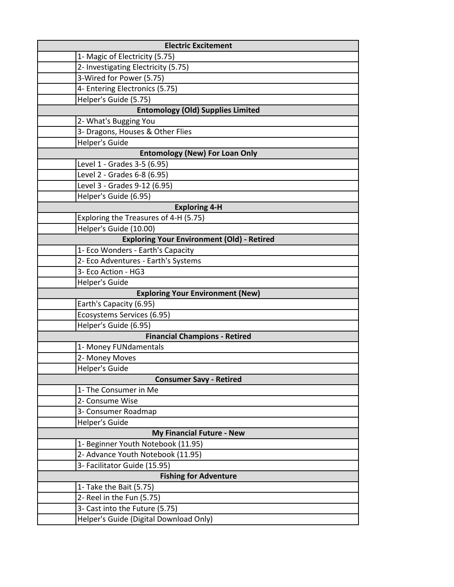| <b>Electric Excitement</b>                        |
|---------------------------------------------------|
| 1- Magic of Electricity (5.75)                    |
| 2- Investigating Electricity (5.75)               |
| 3-Wired for Power (5.75)                          |
| 4- Entering Electronics (5.75)                    |
| Helper's Guide (5.75)                             |
| <b>Entomology (Old) Supplies Limited</b>          |
| 2- What's Bugging You                             |
| 3- Dragons, Houses & Other Flies                  |
| <b>Helper's Guide</b>                             |
| <b>Entomology (New) For Loan Only</b>             |
| Level 1 - Grades 3-5 (6.95)                       |
| Level 2 - Grades 6-8 (6.95)                       |
| Level 3 - Grades 9-12 (6.95)                      |
| Helper's Guide (6.95)                             |
| <b>Exploring 4-H</b>                              |
| Exploring the Treasures of 4-H (5.75)             |
| Helper's Guide (10.00)                            |
| <b>Exploring Your Environment (Old) - Retired</b> |
| 1- Eco Wonders - Earth's Capacity                 |
| 2- Eco Adventures - Earth's Systems               |
| 3- Eco Action - HG3                               |
| Helper's Guide                                    |
| <b>Exploring Your Environment (New)</b>           |
| Earth's Capacity (6.95)                           |
| Ecosystems Services (6.95)                        |
| Helper's Guide (6.95)                             |
| <b>Financial Champions - Retired</b>              |
| 1- Money FUNdamentals                             |
| 2- Money Moves                                    |
| <b>Helper's Guide</b>                             |
| <b>Consumer Savy - Retired</b>                    |
| 1- The Consumer in Me                             |
| 2- Consume Wise                                   |
| 3- Consumer Roadmap                               |
| <b>Helper's Guide</b>                             |
| My Financial Future - New                         |
| 1- Beginner Youth Notebook (11.95)                |
| 2- Advance Youth Notebook (11.95)                 |
| 3- Facilitator Guide (15.95)                      |
| <b>Fishing for Adventure</b>                      |
| 1- Take the Bait (5.75)                           |
| 2- Reel in the Fun (5.75)                         |
| 3- Cast into the Future (5.75)                    |
| Helper's Guide (Digital Download Only)            |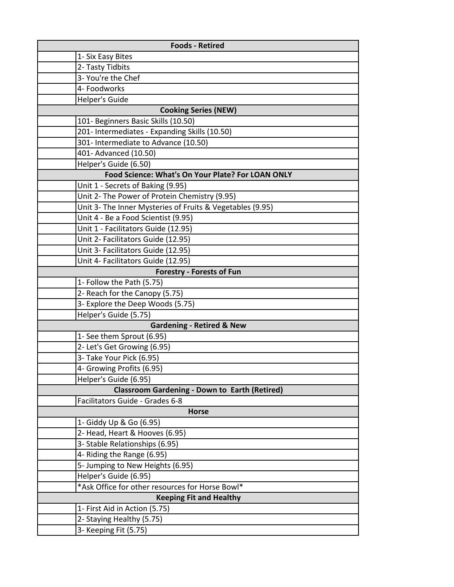| <b>Foods - Retired</b>                                    |
|-----------------------------------------------------------|
| 1- Six Easy Bites                                         |
| 2- Tasty Tidbits                                          |
| 3- You're the Chef                                        |
| 4- Foodworks                                              |
| Helper's Guide                                            |
| <b>Cooking Series (NEW)</b>                               |
| 101- Beginners Basic Skills (10.50)                       |
| 201- Intermediates - Expanding Skills (10.50)             |
| 301- Intermediate to Advance (10.50)                      |
| 401- Advanced (10.50)                                     |
| Helper's Guide (6.50)                                     |
| Food Science: What's On Your Plate? For LOAN ONLY         |
| Unit 1 - Secrets of Baking (9.95)                         |
| Unit 2- The Power of Protein Chemistry (9.95)             |
| Unit 3- The Inner Mysteries of Fruits & Vegetables (9.95) |
| Unit 4 - Be a Food Scientist (9.95)                       |
| Unit 1 - Facilitators Guide (12.95)                       |
| Unit 2- Facilitators Guide (12.95)                        |
| Unit 3- Facilitators Guide (12.95)                        |
| Unit 4- Facilitators Guide (12.95)                        |
| <b>Forestry - Forests of Fun</b>                          |
| 1- Follow the Path (5.75)                                 |
| 2- Reach for the Canopy (5.75)                            |
| 3- Explore the Deep Woods (5.75)                          |
| Helper's Guide (5.75)                                     |
| <b>Gardening - Retired &amp; New</b>                      |
| 1- See them Sprout (6.95)                                 |
| 2- Let's Get Growing (6.95)                               |
| 3- Take Your Pick (6.95)                                  |
| 4- Growing Profits (6.95)                                 |
| Helper's Guide (6.95)                                     |
| <b>Classroom Gardening - Down to Earth (Retired)</b>      |
| Facilitators Guide - Grades 6-8                           |
| <b>Horse</b>                                              |
| 1- Giddy Up & Go (6.95)                                   |
| 2- Head, Heart & Hooves (6.95)                            |
| 3- Stable Relationships (6.95)                            |
| 4- Riding the Range (6.95)                                |
| 5- Jumping to New Heights (6.95)                          |
| Helper's Guide (6.95)                                     |
| *Ask Office for other resources for Horse Bowl*           |
| <b>Keeping Fit and Healthy</b>                            |
| 1- First Aid in Action (5.75)                             |
| 2- Staying Healthy (5.75)                                 |
| 3- Keeping Fit (5.75)                                     |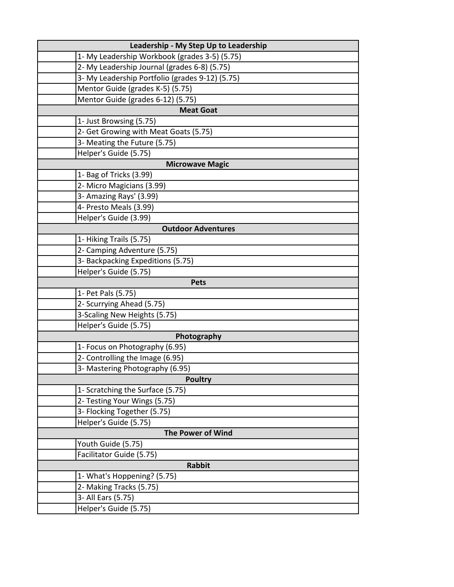| Leadership - My Step Up to Leadership           |
|-------------------------------------------------|
| 1- My Leadership Workbook (grades 3-5) (5.75)   |
| 2- My Leadership Journal (grades 6-8) (5.75)    |
| 3- My Leadership Portfolio (grades 9-12) (5.75) |
| Mentor Guide (grades K-5) (5.75)                |
| Mentor Guide (grades 6-12) (5.75)               |
| <b>Meat Goat</b>                                |
| 1- Just Browsing (5.75)                         |
| 2- Get Growing with Meat Goats (5.75)           |
| 3- Meating the Future (5.75)                    |
| Helper's Guide (5.75)                           |
| <b>Microwave Magic</b>                          |
| 1- Bag of Tricks (3.99)                         |
| 2- Micro Magicians (3.99)                       |
| 3- Amazing Rays' (3.99)                         |
| 4- Presto Meals (3.99)                          |
| Helper's Guide (3.99)                           |
| <b>Outdoor Adventures</b>                       |
| 1- Hiking Trails (5.75)                         |
| 2- Camping Adventure (5.75)                     |
| 3- Backpacking Expeditions (5.75)               |
| Helper's Guide (5.75)                           |
| Pets                                            |
| 1- Pet Pals (5.75)                              |
| 2- Scurrying Ahead (5.75)                       |
| 3-Scaling New Heights (5.75)                    |
| Helper's Guide (5.75)                           |
| Photography                                     |
| 1- Focus on Photography (6.95)                  |
| 2- Controlling the Image (6.95)                 |
| 3- Mastering Photography (6.95)                 |
| <b>Poultry</b>                                  |
| 1- Scratching the Surface (5.75)                |
| 2- Testing Your Wings (5.75)                    |
| 3- Flocking Together (5.75)                     |
| Helper's Guide (5.75)                           |
| <b>The Power of Wind</b>                        |
| Youth Guide (5.75)                              |
| Facilitator Guide (5.75)                        |
| <b>Rabbit</b>                                   |
| 1- What's Hoppening? (5.75)                     |
| 2- Making Tracks (5.75)                         |
| 3- All Ears (5.75)                              |
| Helper's Guide (5.75)                           |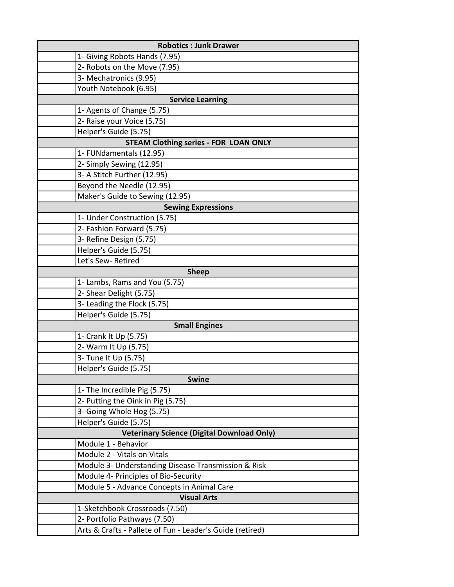| <b>Robotics : Junk Drawer</b>                             |  |
|-----------------------------------------------------------|--|
| 1- Giving Robots Hands (7.95)                             |  |
| 2- Robots on the Move (7.95)                              |  |
| 3- Mechatronics (9.95)                                    |  |
| Youth Notebook (6.95)                                     |  |
| <b>Service Learning</b>                                   |  |
| 1- Agents of Change (5.75)                                |  |
| 2- Raise your Voice (5.75)                                |  |
| Helper's Guide (5.75)                                     |  |
| <b>STEAM Clothing series - FOR LOAN ONLY</b>              |  |
| 1- FUNdamentals (12.95)                                   |  |
| 2- Simply Sewing (12.95)                                  |  |
| 3- A Stitch Further (12.95)                               |  |
| Beyond the Needle (12.95)                                 |  |
| Maker's Guide to Sewing (12.95)                           |  |
| <b>Sewing Expressions</b>                                 |  |
| 1- Under Construction (5.75)                              |  |
| 2- Fashion Forward (5.75)                                 |  |
| 3- Refine Design (5.75)                                   |  |
| Helper's Guide (5.75)                                     |  |
| Let's Sew- Retired                                        |  |
| <b>Sheep</b>                                              |  |
| 1- Lambs, Rams and You (5.75)                             |  |
| 2- Shear Delight (5.75)                                   |  |
| 3- Leading the Flock (5.75)                               |  |
| Helper's Guide (5.75)                                     |  |
| <b>Small Engines</b>                                      |  |
| 1- Crank It Up (5.75)                                     |  |
| 2- Warm It Up (5.75)                                      |  |
| 3- Tune It Up (5.75)                                      |  |
| Helper's Guide (5.75)                                     |  |
| <b>Swine</b>                                              |  |
| 1- The Incredible Pig (5.75)                              |  |
| 2- Putting the Oink in Pig (5.75)                         |  |
| 3- Going Whole Hog (5.75)                                 |  |
| Helper's Guide (5.75)                                     |  |
| <b>Veterinary Science (Digital Download Only)</b>         |  |
| Module 1 - Behavior                                       |  |
| Module 2 - Vitals on Vitals                               |  |
| Module 3- Understanding Disease Transmission & Risk       |  |
| Module 4- Principles of Bio-Security                      |  |
| Module 5 - Advance Concepts in Animal Care                |  |
| <b>Visual Arts</b>                                        |  |
| 1-Sketchbook Crossroads (7.50)                            |  |
| 2- Portfolio Pathways (7.50)                              |  |
| Arts & Crafts - Pallete of Fun - Leader's Guide (retired) |  |